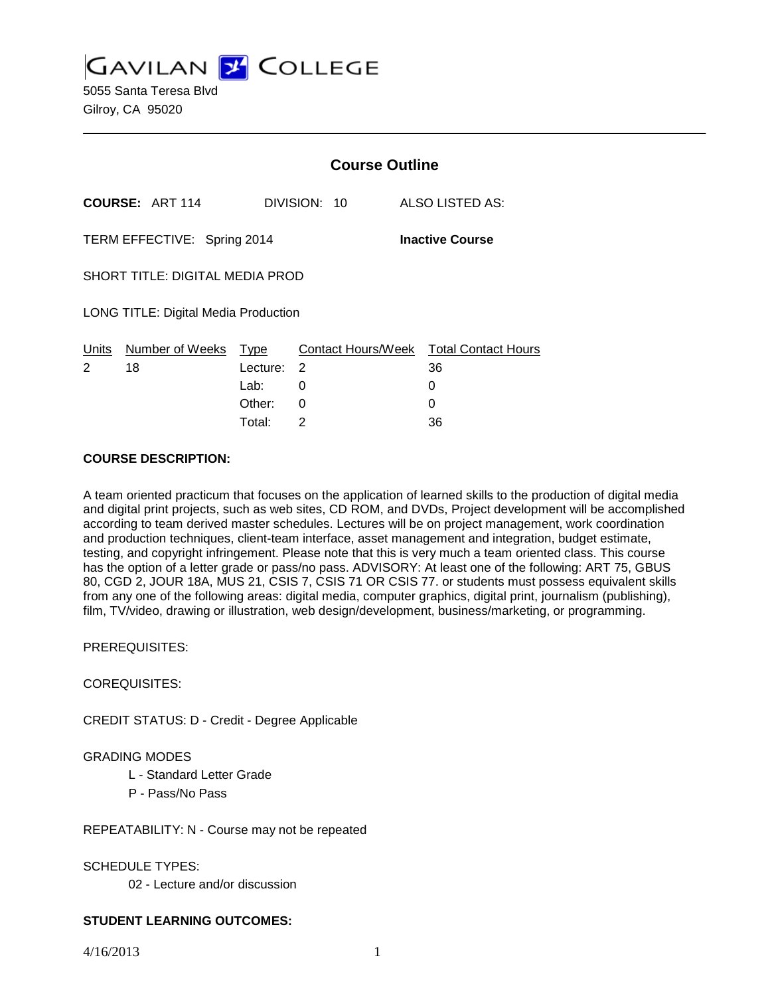**GAVILAN 2 COLLEGE** 5055 Santa Teresa Blvd Gilroy, CA 95020

|                                                       |                        | <b>Course Outline</b> |              |                                              |
|-------------------------------------------------------|------------------------|-----------------------|--------------|----------------------------------------------|
|                                                       | <b>COURSE: ART 114</b> |                       | DIVISION: 10 | ALSO LISTED AS:                              |
| <b>Inactive Course</b><br>TERM EFFECTIVE: Spring 2014 |                        |                       |              |                                              |
| <b>SHORT TITLE: DIGITAL MEDIA PROD</b>                |                        |                       |              |                                              |
| LONG TITLE: Digital Media Production                  |                        |                       |              |                                              |
| Units<br>2                                            | Number of Weeks<br>18  | Type<br>Lecture:      | 2            | Contact Hours/Week Total Contact Hours<br>36 |
|                                                       |                        | Lab:                  | 0            | 0                                            |
|                                                       |                        | Other:                | 0            | 0                                            |
|                                                       |                        | Total⊤                | 2            | 36                                           |

#### **COURSE DESCRIPTION:**

A team oriented practicum that focuses on the application of learned skills to the production of digital media and digital print projects, such as web sites, CD ROM, and DVDs, Project development will be accomplished according to team derived master schedules. Lectures will be on project management, work coordination and production techniques, client-team interface, asset management and integration, budget estimate, testing, and copyright infringement. Please note that this is very much a team oriented class. This course has the option of a letter grade or pass/no pass. ADVISORY: At least one of the following: ART 75, GBUS 80, CGD 2, JOUR 18A, MUS 21, CSIS 7, CSIS 71 OR CSIS 77. or students must possess equivalent skills from any one of the following areas: digital media, computer graphics, digital print, journalism (publishing), film, TV/video, drawing or illustration, web design/development, business/marketing, or programming.

PREREQUISITES:

COREQUISITES:

CREDIT STATUS: D - Credit - Degree Applicable

## GRADING MODES

- L Standard Letter Grade
- P Pass/No Pass

REPEATABILITY: N - Course may not be repeated

SCHEDULE TYPES:

02 - Lecture and/or discussion

## **STUDENT LEARNING OUTCOMES:**

4/16/2013 1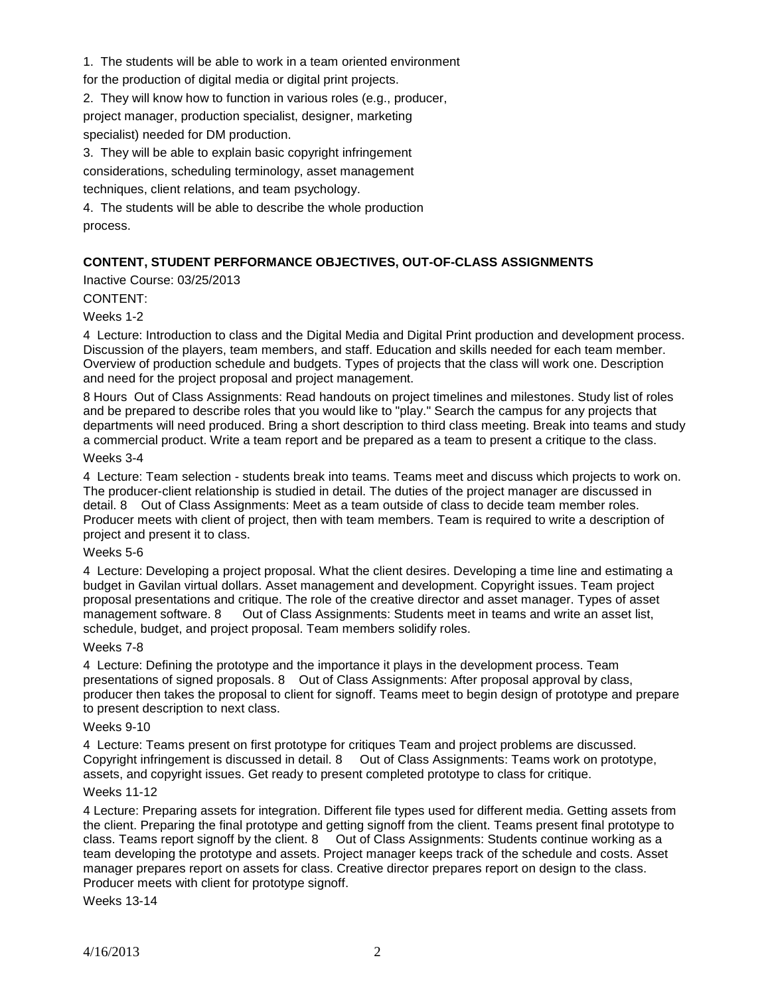1. The students will be able to work in a team oriented environment

for the production of digital media or digital print projects.

2. They will know how to function in various roles (e.g., producer, project manager, production specialist, designer, marketing

specialist) needed for DM production.

3. They will be able to explain basic copyright infringement considerations, scheduling terminology, asset management

techniques, client relations, and team psychology.

4. The students will be able to describe the whole production process.

# **CONTENT, STUDENT PERFORMANCE OBJECTIVES, OUT-OF-CLASS ASSIGNMENTS**

Inactive Course: 03/25/2013

# CONTENT:

## Weeks 1-2

4 Lecture: Introduction to class and the Digital Media and Digital Print production and development process. Discussion of the players, team members, and staff. Education and skills needed for each team member. Overview of production schedule and budgets. Types of projects that the class will work one. Description and need for the project proposal and project management.

8 Hours Out of Class Assignments: Read handouts on project timelines and milestones. Study list of roles and be prepared to describe roles that you would like to "play." Search the campus for any projects that departments will need produced. Bring a short description to third class meeting. Break into teams and study a commercial product. Write a team report and be prepared as a team to present a critique to the class.

### Weeks 3-4

4 Lecture: Team selection - students break into teams. Teams meet and discuss which projects to work on. The producer-client relationship is studied in detail. The duties of the project manager are discussed in detail. 8 Out of Class Assignments: Meet as a team outside of class to decide team member roles. Producer meets with client of project, then with team members. Team is required to write a description of project and present it to class.

## Weeks 5-6

4 Lecture: Developing a project proposal. What the client desires. Developing a time line and estimating a budget in Gavilan virtual dollars. Asset management and development. Copyright issues. Team project proposal presentations and critique. The role of the creative director and asset manager. Types of asset management software. 8 Out of Class Assignments: Students meet in teams and write an asset list, schedule, budget, and project proposal. Team members solidify roles.

## Weeks 7-8

4 Lecture: Defining the prototype and the importance it plays in the development process. Team presentations of signed proposals. 8 Out of Class Assignments: After proposal approval by class, producer then takes the proposal to client for signoff. Teams meet to begin design of prototype and prepare to present description to next class.

#### Weeks 9-10

4 Lecture: Teams present on first prototype for critiques Team and project problems are discussed. Copyright infringement is discussed in detail. 8 Out of Class Assignments: Teams work on prototype, assets, and copyright issues. Get ready to present completed prototype to class for critique.

## Weeks 11-12

4 Lecture: Preparing assets for integration. Different file types used for different media. Getting assets from the client. Preparing the final prototype and getting signoff from the client. Teams present final prototype to class. Teams report signoff by the client. 8 Out of Class Assignments: Students continue working as a team developing the prototype and assets. Project manager keeps track of the schedule and costs. Asset manager prepares report on assets for class. Creative director prepares report on design to the class. Producer meets with client for prototype signoff.

Weeks 13-14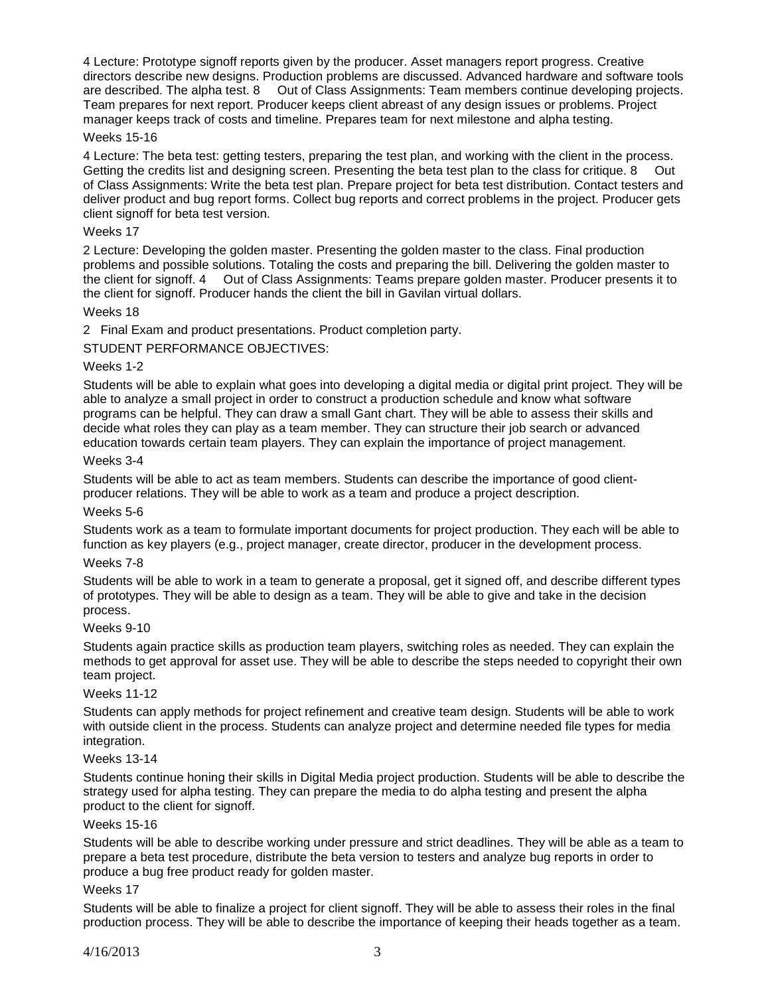4 Lecture: Prototype signoff reports given by the producer. Asset managers report progress. Creative directors describe new designs. Production problems are discussed. Advanced hardware and software tools are described. The alpha test. 8 Out of Class Assignments: Team members continue developing projects. Team prepares for next report. Producer keeps client abreast of any design issues or problems. Project manager keeps track of costs and timeline. Prepares team for next milestone and alpha testing.

### Weeks 15-16

4 Lecture: The beta test: getting testers, preparing the test plan, and working with the client in the process.<br>Getting the credits list and designing screen. Presenting the beta test plan to the class for critique. 8 Out Getting the credits list and designing screen. Presenting the beta test plan to the class for critique. 8 of Class Assignments: Write the beta test plan. Prepare project for beta test distribution. Contact testers and deliver product and bug report forms. Collect bug reports and correct problems in the project. Producer gets client signoff for beta test version.

### Weeks 17

2 Lecture: Developing the golden master. Presenting the golden master to the class. Final production problems and possible solutions. Totaling the costs and preparing the bill. Delivering the golden master to the client for signoff. 4 Out of Class Assignments: Teams prepare golden master. Producer presents it to the client for signoff. Producer hands the client the bill in Gavilan virtual dollars.

#### Weeks 18

2 Final Exam and product presentations. Product completion party.

STUDENT PERFORMANCE OBJECTIVES:

### Weeks 1-2

Students will be able to explain what goes into developing a digital media or digital print project. They will be able to analyze a small project in order to construct a production schedule and know what software programs can be helpful. They can draw a small Gant chart. They will be able to assess their skills and decide what roles they can play as a team member. They can structure their job search or advanced education towards certain team players. They can explain the importance of project management.

## Weeks 3-4

Students will be able to act as team members. Students can describe the importance of good clientproducer relations. They will be able to work as a team and produce a project description.

#### Weeks 5-6

Students work as a team to formulate important documents for project production. They each will be able to function as key players (e.g., project manager, create director, producer in the development process.

### Weeks 7-8

Students will be able to work in a team to generate a proposal, get it signed off, and describe different types of prototypes. They will be able to design as a team. They will be able to give and take in the decision process.

#### Weeks 9-10

Students again practice skills as production team players, switching roles as needed. They can explain the methods to get approval for asset use. They will be able to describe the steps needed to copyright their own team project.

#### Weeks 11-12

Students can apply methods for project refinement and creative team design. Students will be able to work with outside client in the process. Students can analyze project and determine needed file types for media integration.

#### Weeks 13-14

Students continue honing their skills in Digital Media project production. Students will be able to describe the strategy used for alpha testing. They can prepare the media to do alpha testing and present the alpha product to the client for signoff.

#### Weeks 15-16

Students will be able to describe working under pressure and strict deadlines. They will be able as a team to prepare a beta test procedure, distribute the beta version to testers and analyze bug reports in order to produce a bug free product ready for golden master.

#### Weeks 17

Students will be able to finalize a project for client signoff. They will be able to assess their roles in the final production process. They will be able to describe the importance of keeping their heads together as a team.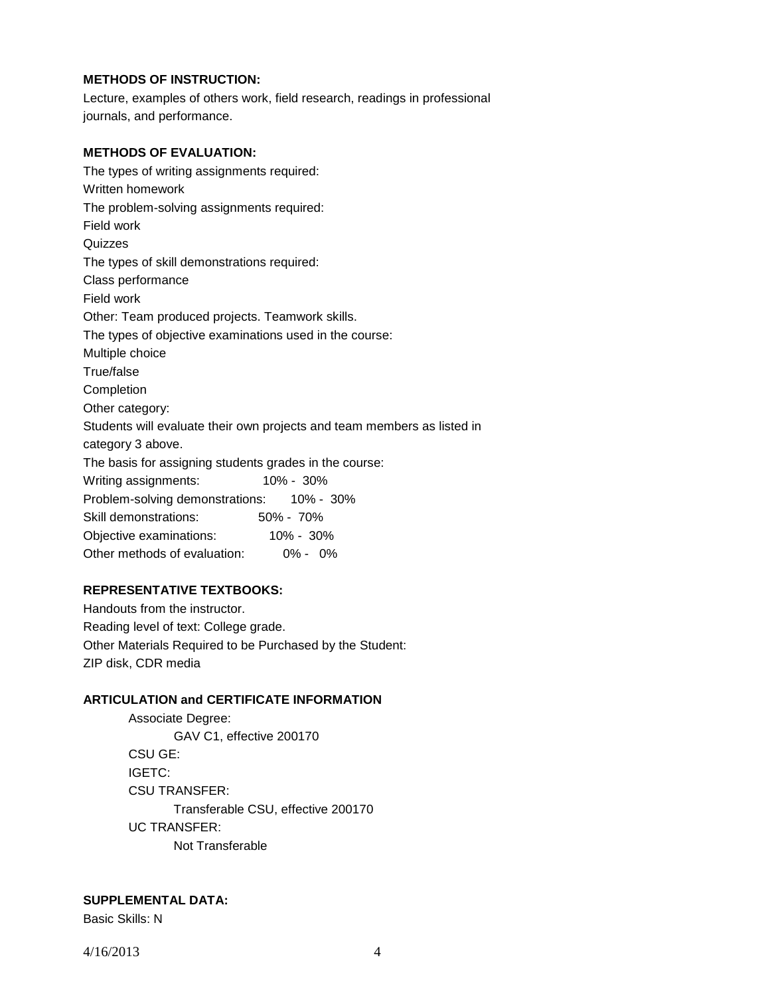## **METHODS OF INSTRUCTION:**

Lecture, examples of others work, field research, readings in professional journals, and performance.

## **METHODS OF EVALUATION:**

The types of writing assignments required: Written homework The problem-solving assignments required: Field work **Quizzes** The types of skill demonstrations required: Class performance Field work Other: Team produced projects. Teamwork skills. The types of objective examinations used in the course: Multiple choice True/false **Completion** Other category: Students will evaluate their own projects and team members as listed in category 3 above. The basis for assigning students grades in the course: Writing assignments: 10% - 30% Problem-solving demonstrations: 10% - 30% Skill demonstrations: 50% - 70% Objective examinations: 10% - 30% Other methods of evaluation: 0% - 0%

#### **REPRESENTATIVE TEXTBOOKS:**

Handouts from the instructor. Reading level of text: College grade. Other Materials Required to be Purchased by the Student: ZIP disk, CDR media

## **ARTICULATION and CERTIFICATE INFORMATION**

Associate Degree: GAV C1, effective 200170 CSU GE: IGETC: CSU TRANSFER: Transferable CSU, effective 200170 UC TRANSFER: Not Transferable

## **SUPPLEMENTAL DATA:**

Basic Skills: N